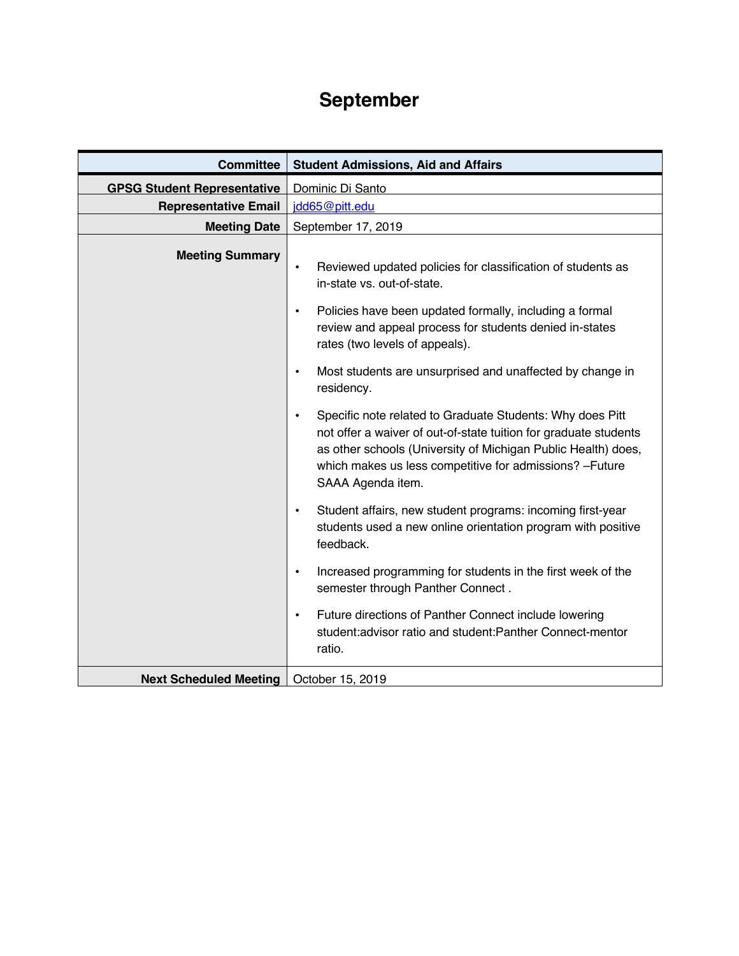## **September**

| <b>Committee</b>                   | <b>Student Admissions, Aid and Affairs</b>                                                                                                                                                                                                                                                   |
|------------------------------------|----------------------------------------------------------------------------------------------------------------------------------------------------------------------------------------------------------------------------------------------------------------------------------------------|
| <b>GPSG Student Representative</b> | Dominic Di Santo                                                                                                                                                                                                                                                                             |
| <b>Representative Email</b>        | jdd65@pitt.edu                                                                                                                                                                                                                                                                               |
| <b>Meeting Date</b>                | September 17, 2019                                                                                                                                                                                                                                                                           |
| <b>Meeting Summary</b>             | Reviewed updated policies for classification of students as<br>$\bullet$<br>in-state vs. out-of-state.<br>Policies have been updated formally, including a formal<br>$\bullet$<br>review and appeal process for students denied in-states                                                    |
|                                    | rates (two levels of appeals).                                                                                                                                                                                                                                                               |
|                                    | Most students are unsurprised and unaffected by change in<br>$\bullet$<br>residency.                                                                                                                                                                                                         |
|                                    | Specific note related to Graduate Students: Why does Pitt<br>$\bullet$<br>not offer a waiver of out-of-state tuition for graduate students<br>as other schools (University of Michigan Public Health) does,<br>which makes us less competitive for admissions? - Future<br>SAAA Agenda item. |
|                                    | Student affairs, new student programs: incoming first-year<br>$\bullet$<br>students used a new online orientation program with positive<br>feedback.                                                                                                                                         |
|                                    | Increased programming for students in the first week of the<br>$\bullet$<br>semester through Panther Connect.                                                                                                                                                                                |
|                                    | Future directions of Panther Connect include lowering<br>$\bullet$<br>student: advisor ratio and student: Panther Connect-mentor<br>ratio.                                                                                                                                                   |
| <b>Next Scheduled Meeting</b>      | October 15, 2019                                                                                                                                                                                                                                                                             |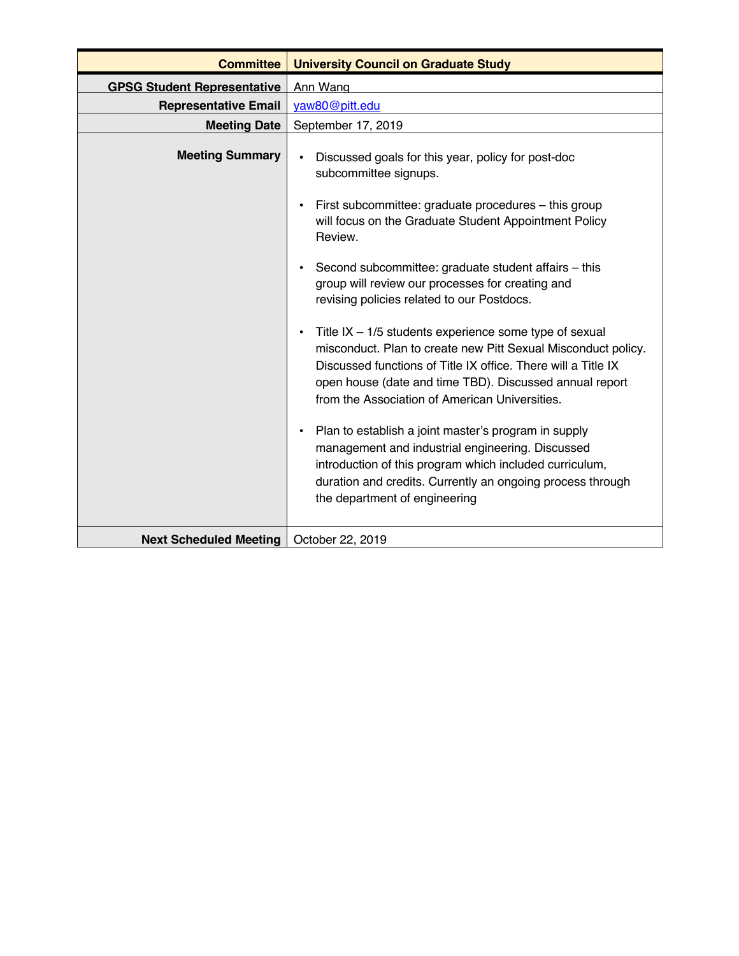| <b>Committee</b>                   | <b>University Council on Graduate Study</b>                                                                                                                                                                                                                                                                          |
|------------------------------------|----------------------------------------------------------------------------------------------------------------------------------------------------------------------------------------------------------------------------------------------------------------------------------------------------------------------|
| <b>GPSG Student Representative</b> | Ann Wang                                                                                                                                                                                                                                                                                                             |
| <b>Representative Email</b>        | yaw80@pitt.edu                                                                                                                                                                                                                                                                                                       |
| <b>Meeting Date</b>                | September 17, 2019                                                                                                                                                                                                                                                                                                   |
| <b>Meeting Summary</b>             | Discussed goals for this year, policy for post-doc<br>$\bullet$<br>subcommittee signups.                                                                                                                                                                                                                             |
|                                    | First subcommittee: graduate procedures - this group<br>$\bullet$<br>will focus on the Graduate Student Appointment Policy<br>Review.                                                                                                                                                                                |
|                                    | Second subcommittee: graduate student affairs - this<br>$\bullet$<br>group will review our processes for creating and<br>revising policies related to our Postdocs.                                                                                                                                                  |
|                                    | Title $IX - 1/5$ students experience some type of sexual<br>$\bullet$<br>misconduct. Plan to create new Pitt Sexual Misconduct policy.<br>Discussed functions of Title IX office. There will a Title IX<br>open house (date and time TBD). Discussed annual report<br>from the Association of American Universities. |
|                                    | Plan to establish a joint master's program in supply<br>$\bullet$<br>management and industrial engineering. Discussed<br>introduction of this program which included curriculum,<br>duration and credits. Currently an ongoing process through<br>the department of engineering                                      |
| <b>Next Scheduled Meeting</b>      | October 22, 2019                                                                                                                                                                                                                                                                                                     |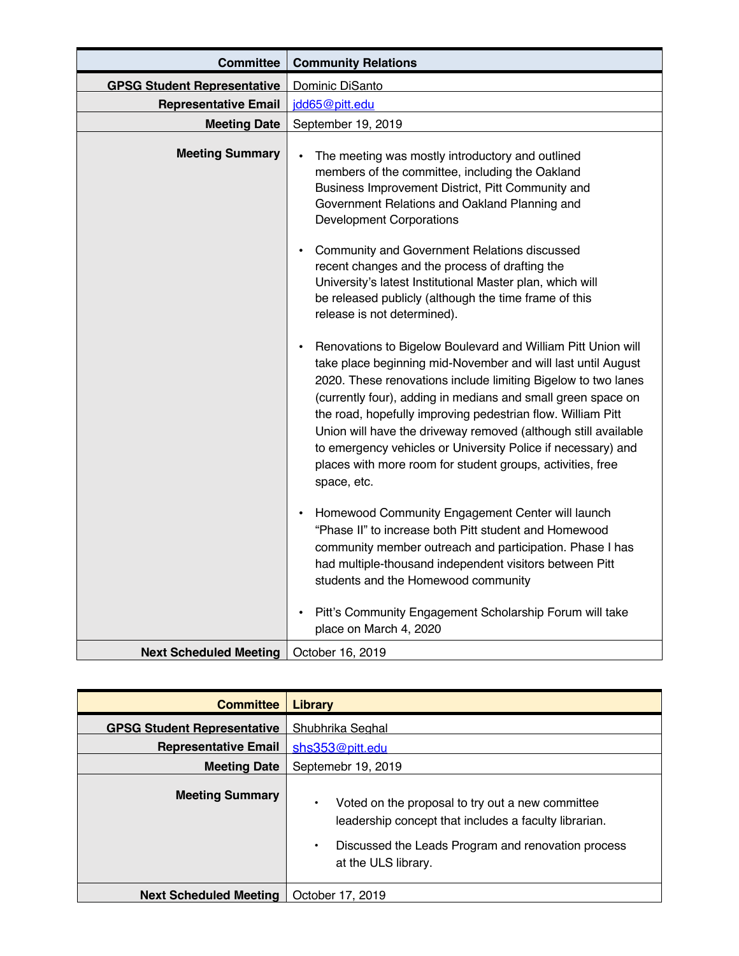| <b>Committee</b>                   | <b>Community Relations</b>                                                                                                                                                                                                                                                                                                                                                                                                                                                                                                                               |
|------------------------------------|----------------------------------------------------------------------------------------------------------------------------------------------------------------------------------------------------------------------------------------------------------------------------------------------------------------------------------------------------------------------------------------------------------------------------------------------------------------------------------------------------------------------------------------------------------|
| <b>GPSG Student Representative</b> | Dominic DiSanto                                                                                                                                                                                                                                                                                                                                                                                                                                                                                                                                          |
| <b>Representative Email</b>        | jdd65@pitt.edu                                                                                                                                                                                                                                                                                                                                                                                                                                                                                                                                           |
| <b>Meeting Date</b>                | September 19, 2019                                                                                                                                                                                                                                                                                                                                                                                                                                                                                                                                       |
| <b>Meeting Summary</b>             | The meeting was mostly introductory and outlined<br>$\bullet$<br>members of the committee, including the Oakland<br>Business Improvement District, Pitt Community and<br>Government Relations and Oakland Planning and<br><b>Development Corporations</b>                                                                                                                                                                                                                                                                                                |
|                                    | Community and Government Relations discussed<br>$\bullet$<br>recent changes and the process of drafting the<br>University's latest Institutional Master plan, which will<br>be released publicly (although the time frame of this<br>release is not determined).                                                                                                                                                                                                                                                                                         |
|                                    | Renovations to Bigelow Boulevard and William Pitt Union will<br>$\bullet$<br>take place beginning mid-November and will last until August<br>2020. These renovations include limiting Bigelow to two lanes<br>(currently four), adding in medians and small green space on<br>the road, hopefully improving pedestrian flow. William Pitt<br>Union will have the driveway removed (although still available<br>to emergency vehicles or University Police if necessary) and<br>places with more room for student groups, activities, free<br>space, etc. |
|                                    | Homewood Community Engagement Center will launch<br>$\bullet$<br>"Phase II" to increase both Pitt student and Homewood<br>community member outreach and participation. Phase I has<br>had multiple-thousand independent visitors between Pitt<br>students and the Homewood community                                                                                                                                                                                                                                                                     |
|                                    | Pitt's Community Engagement Scholarship Forum will take<br>$\bullet$<br>place on March 4, 2020                                                                                                                                                                                                                                                                                                                                                                                                                                                           |
| <b>Next Scheduled Meeting</b>      | October 16, 2019                                                                                                                                                                                                                                                                                                                                                                                                                                                                                                                                         |

| <b>Committee</b>                   | Library                                                                                                                                                                                          |
|------------------------------------|--------------------------------------------------------------------------------------------------------------------------------------------------------------------------------------------------|
| <b>GPSG Student Representative</b> | Shubhrika Seghal                                                                                                                                                                                 |
| <b>Representative Email</b>        | shs353@pitt.edu                                                                                                                                                                                  |
| <b>Meeting Date</b>                | Septemebr 19, 2019                                                                                                                                                                               |
| <b>Meeting Summary</b>             | Voted on the proposal to try out a new committee<br>٠<br>leadership concept that includes a faculty librarian.<br>Discussed the Leads Program and renovation process<br>٠<br>at the ULS library. |
| <b>Next Scheduled Meeting</b>      | October 17, 2019                                                                                                                                                                                 |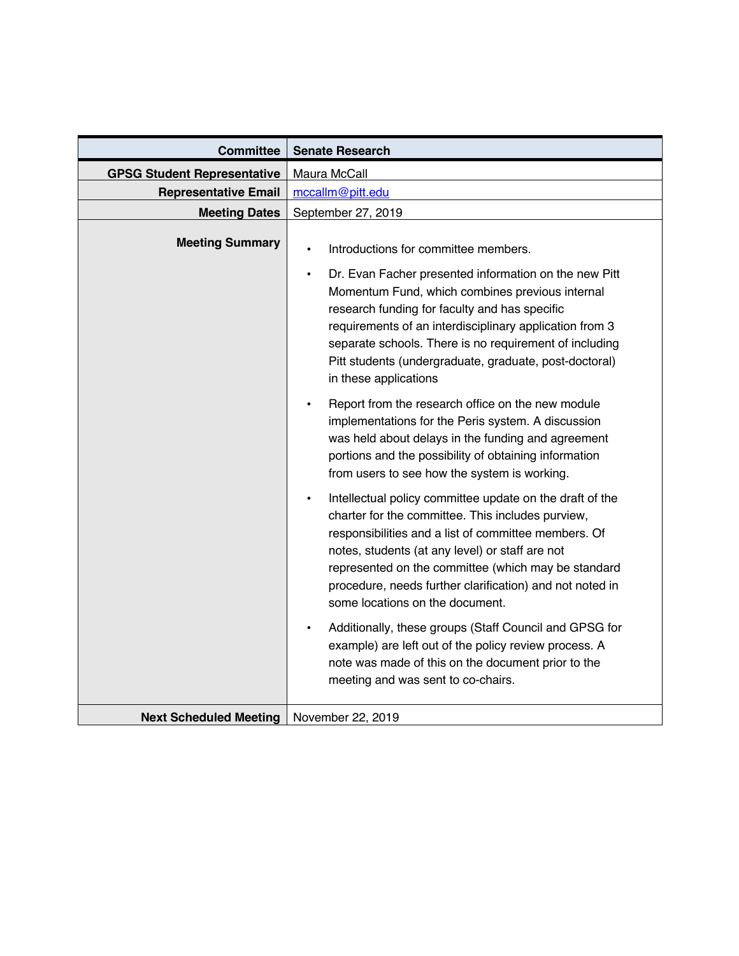| <b>Committee</b>                   | <b>Senate Research</b>                                                                                                                                                                                                                                                                                                                                                                                                                                                                                                                                                                                                                                                                                                                                                                                                                                                                                                                                                                           |
|------------------------------------|--------------------------------------------------------------------------------------------------------------------------------------------------------------------------------------------------------------------------------------------------------------------------------------------------------------------------------------------------------------------------------------------------------------------------------------------------------------------------------------------------------------------------------------------------------------------------------------------------------------------------------------------------------------------------------------------------------------------------------------------------------------------------------------------------------------------------------------------------------------------------------------------------------------------------------------------------------------------------------------------------|
| <b>GPSG Student Representative</b> | Maura McCall                                                                                                                                                                                                                                                                                                                                                                                                                                                                                                                                                                                                                                                                                                                                                                                                                                                                                                                                                                                     |
| <b>Representative Email</b>        | mccallm@pitt.edu                                                                                                                                                                                                                                                                                                                                                                                                                                                                                                                                                                                                                                                                                                                                                                                                                                                                                                                                                                                 |
| <b>Meeting Dates</b>               | September 27, 2019                                                                                                                                                                                                                                                                                                                                                                                                                                                                                                                                                                                                                                                                                                                                                                                                                                                                                                                                                                               |
| <b>Meeting Summary</b>             | Introductions for committee members.<br>$\bullet$<br>Dr. Evan Facher presented information on the new Pitt<br>$\bullet$<br>Momentum Fund, which combines previous internal<br>research funding for faculty and has specific<br>requirements of an interdisciplinary application from 3<br>separate schools. There is no requirement of including<br>Pitt students (undergraduate, graduate, post-doctoral)<br>in these applications<br>Report from the research office on the new module<br>implementations for the Peris system. A discussion<br>was held about delays in the funding and agreement<br>portions and the possibility of obtaining information<br>from users to see how the system is working.<br>Intellectual policy committee update on the draft of the<br>charter for the committee. This includes purview,<br>responsibilities and a list of committee members. Of<br>notes, students (at any level) or staff are not<br>represented on the committee (which may be standard |
|                                    | procedure, needs further clarification) and not noted in<br>some locations on the document.                                                                                                                                                                                                                                                                                                                                                                                                                                                                                                                                                                                                                                                                                                                                                                                                                                                                                                      |
|                                    | Additionally, these groups (Staff Council and GPSG for<br>$\bullet$<br>example) are left out of the policy review process. A<br>note was made of this on the document prior to the<br>meeting and was sent to co-chairs.                                                                                                                                                                                                                                                                                                                                                                                                                                                                                                                                                                                                                                                                                                                                                                         |
| <b>Next Scheduled Meeting</b>      | November 22, 2019                                                                                                                                                                                                                                                                                                                                                                                                                                                                                                                                                                                                                                                                                                                                                                                                                                                                                                                                                                                |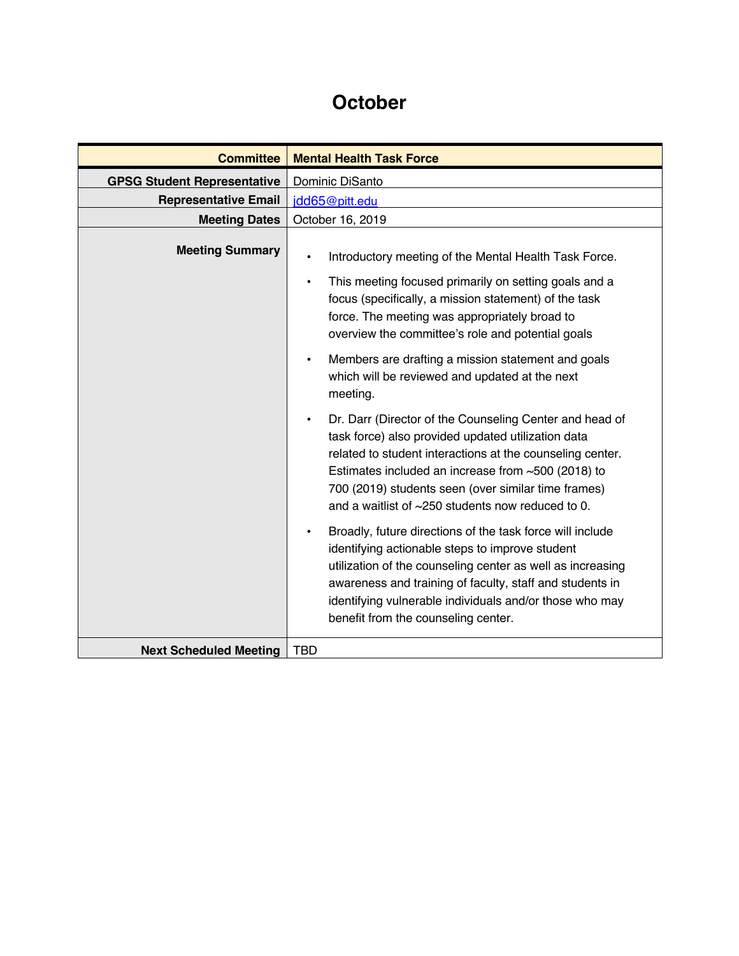## **October**

| <b>Committee</b>                   | <b>Mental Health Task Force</b>                                                                                                                                                                                                                                                                                                                                   |
|------------------------------------|-------------------------------------------------------------------------------------------------------------------------------------------------------------------------------------------------------------------------------------------------------------------------------------------------------------------------------------------------------------------|
| <b>GPSG Student Representative</b> | Dominic DiSanto                                                                                                                                                                                                                                                                                                                                                   |
| <b>Representative Email</b>        | jdd65@pitt.edu                                                                                                                                                                                                                                                                                                                                                    |
| <b>Meeting Dates</b>               | October 16, 2019                                                                                                                                                                                                                                                                                                                                                  |
| <b>Meeting Summary</b>             | Introductory meeting of the Mental Health Task Force.<br>$\bullet$                                                                                                                                                                                                                                                                                                |
|                                    | This meeting focused primarily on setting goals and a<br>$\bullet$<br>focus (specifically, a mission statement) of the task<br>force. The meeting was appropriately broad to<br>overview the committee's role and potential goals                                                                                                                                 |
|                                    | Members are drafting a mission statement and goals<br>$\bullet$<br>which will be reviewed and updated at the next<br>meeting.                                                                                                                                                                                                                                     |
|                                    | Dr. Darr (Director of the Counseling Center and head of<br>$\bullet$<br>task force) also provided updated utilization data<br>related to student interactions at the counseling center.<br>Estimates included an increase from $~500$ (2018) to<br>700 (2019) students seen (over similar time frames)<br>and a waitlist of $\sim$ 250 students now reduced to 0. |
|                                    | Broadly, future directions of the task force will include<br>identifying actionable steps to improve student<br>utilization of the counseling center as well as increasing<br>awareness and training of faculty, staff and students in<br>identifying vulnerable individuals and/or those who may<br>benefit from the counseling center.                          |
| <b>Next Scheduled Meeting</b>      | <b>TBD</b>                                                                                                                                                                                                                                                                                                                                                        |